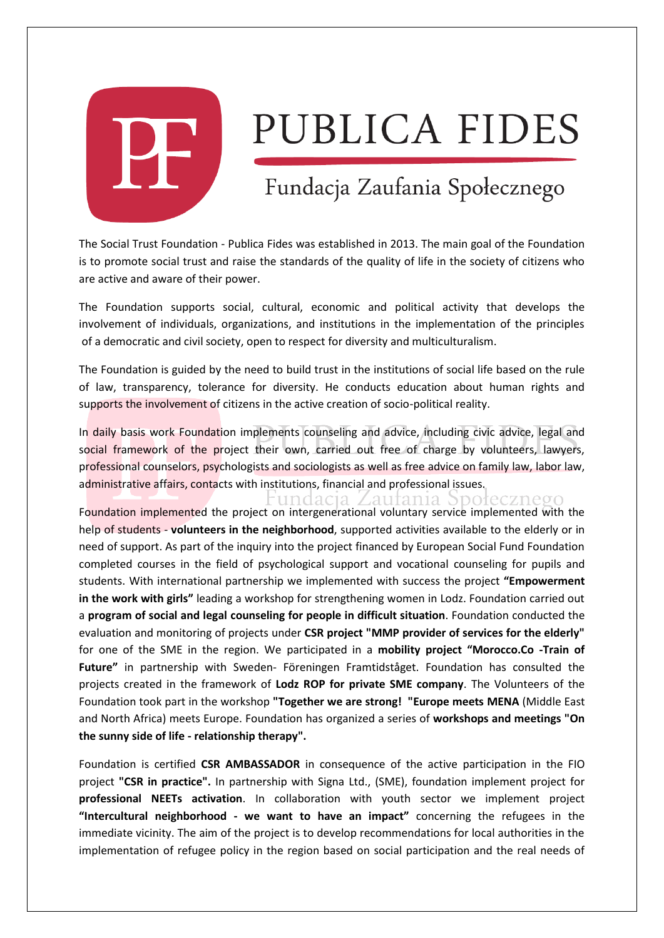

## PUBLICA FIDES

## Fundacja Zaufania Społecznego

The Social Trust Foundation - Publica Fides was established in 2013. The main goal of the Foundation is to promote social trust and raise the standards of the quality of life in the society of citizens who are active and aware of their power.

The Foundation supports social, cultural, economic and political activity that develops the involvement of individuals, organizations, and institutions in the implementation of the principles of a democratic and civil society, open to respect for diversity and multiculturalism.

The Foundation is guided by the need to build trust in the institutions of social life based on the rule of law, transparency, tolerance for diversity. He conducts education about human rights and supports the involvement of citizens in the active creation of socio-political reality.

In daily basis work Foundation implements counseling and advice, including civic advice, legal and social framework of the project their own, carried out free of charge by volunteers, lawyers, professional counselors, psychologists and sociologists as well as free advice on family law, labor law, administrative affairs, contacts with institutions, financial and professional issues.

Zaufania Społecznego undacia

Foundation implemented the project on intergenerational voluntary service implemented with the help of students - **volunteers in the neighborhood**, supported activities available to the elderly or in need of support. As part of the inquiry into the project financed by European Social Fund Foundation completed courses in the field of psychological support and vocational counseling for pupils and students. With international partnership we implemented with success the project **"Empowerment in the work with girls"** leading a workshop for strengthening women in Lodz. Foundation carried out a **program of social and legal counseling for people in difficult situation**. Foundation conducted the evaluation and monitoring of projects under **CSR project "MMP provider of services for the elderly"** for one of the SME in the region. We participated in a **mobility project "Morocco.Co -Train of Future"** in partnership with Sweden- Föreningen Framtidståget. Foundation has consulted the projects created in the framework of **Lodz ROP for private SME company**. The Volunteers of the Foundation took part in the workshop **"Together we are strong! "Europe meets MENA** (Middle East and North Africa) meets Europe. Foundation has organized a series of **workshops and meetings "On the sunny side of life - relationship therapy".**

Foundation is certified **CSR AMBASSADOR** in consequence of the active participation in the FIO project **"CSR in practice".** In partnership with Signa Ltd., (SME), foundation implement project for **professional NEETs activation**. In collaboration with youth sector we implement project **"Intercultural neighborhood - we want to have an impact"** concerning the refugees in the immediate vicinity. The aim of the project is to develop recommendations for local authorities in the implementation of refugee policy in the region based on social participation and the real needs of